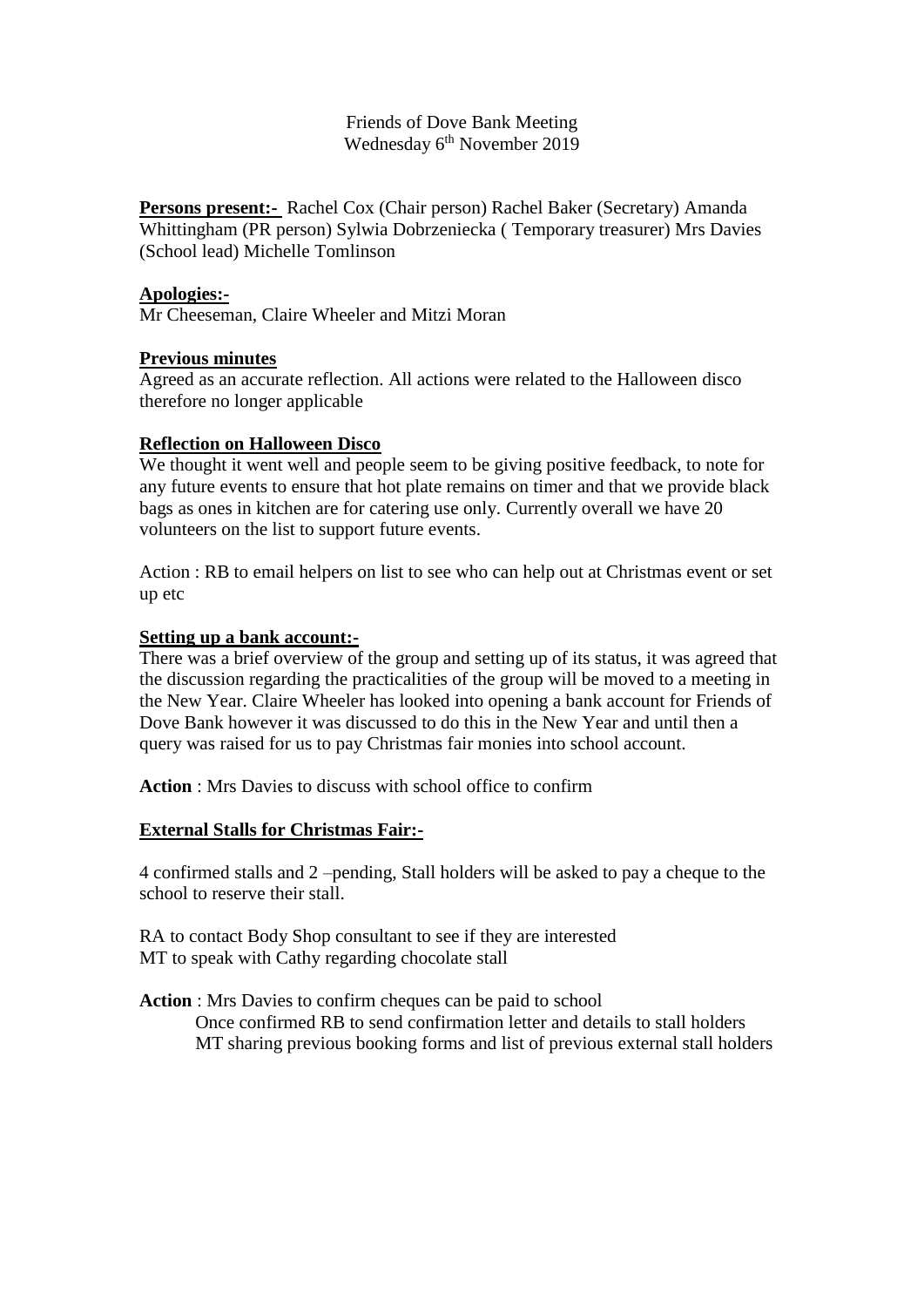Friends of Dove Bank Meeting Wednesday 6<sup>th</sup> November 2019

**Persons present:-** Rachel Cox (Chair person) Rachel Baker (Secretary) Amanda Whittingham (PR person) Sylwia Dobrzeniecka ( Temporary treasurer) Mrs Davies (School lead) Michelle Tomlinson

### **Apologies:-**

Mr Cheeseman, Claire Wheeler and Mitzi Moran

### **Previous minutes**

Agreed as an accurate reflection. All actions were related to the Halloween disco therefore no longer applicable

### **Reflection on Halloween Disco**

We thought it went well and people seem to be giving positive feedback, to note for any future events to ensure that hot plate remains on timer and that we provide black bags as ones in kitchen are for catering use only. Currently overall we have 20 volunteers on the list to support future events.

Action : RB to email helpers on list to see who can help out at Christmas event or set up etc

#### **Setting up a bank account:-**

There was a brief overview of the group and setting up of its status, it was agreed that the discussion regarding the practicalities of the group will be moved to a meeting in the New Year. Claire Wheeler has looked into opening a bank account for Friends of Dove Bank however it was discussed to do this in the New Year and until then a query was raised for us to pay Christmas fair monies into school account.

**Action** : Mrs Davies to discuss with school office to confirm

### **External Stalls for Christmas Fair:-**

4 confirmed stalls and 2 –pending, Stall holders will be asked to pay a cheque to the school to reserve their stall.

RA to contact Body Shop consultant to see if they are interested MT to speak with Cathy regarding chocolate stall

**Action** : Mrs Davies to confirm cheques can be paid to school Once confirmed RB to send confirmation letter and details to stall holders MT sharing previous booking forms and list of previous external stall holders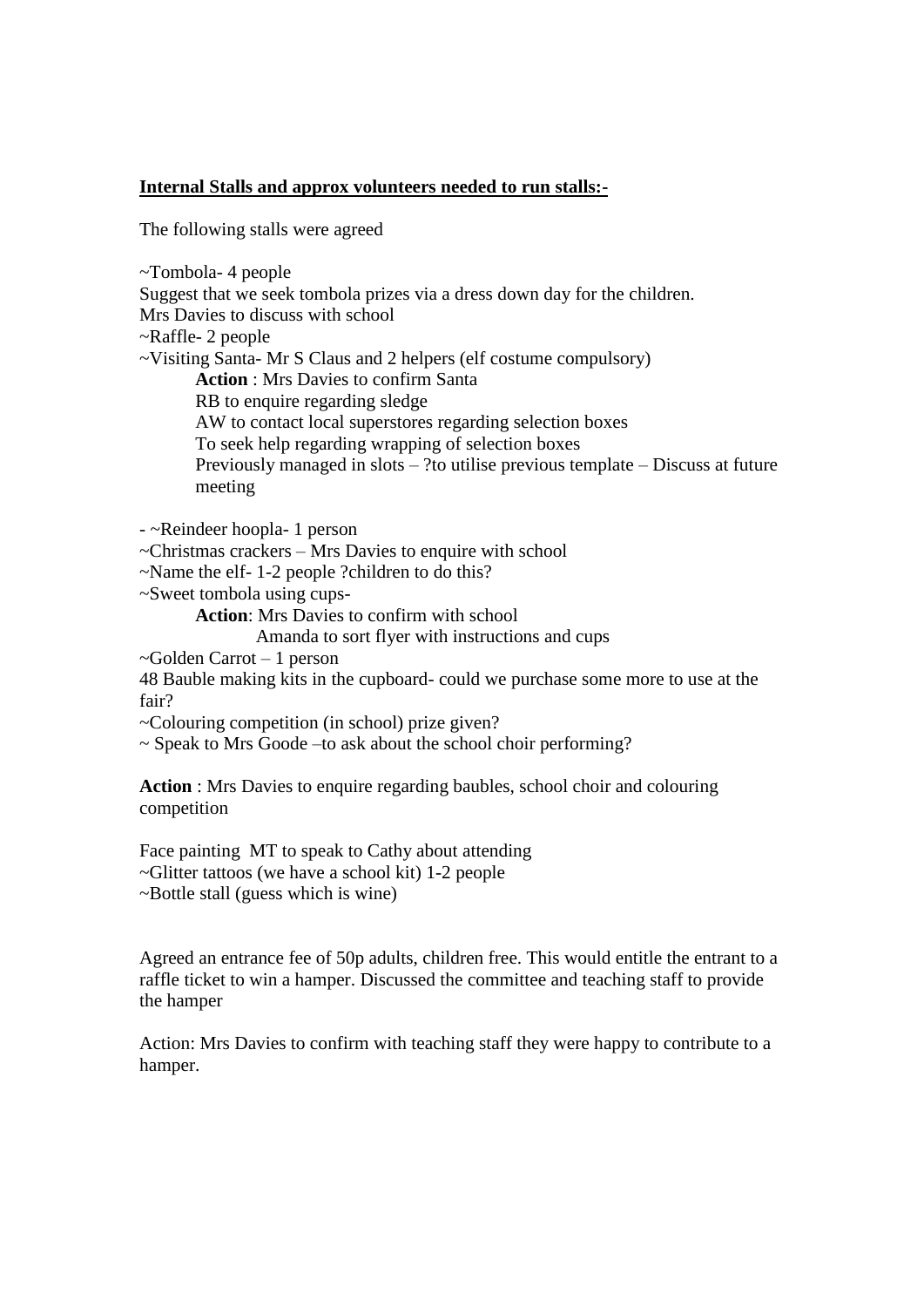## **Internal Stalls and approx volunteers needed to run stalls:-**

The following stalls were agreed

~Tombola- 4 people

Suggest that we seek tombola prizes via a dress down day for the children. Mrs Davies to discuss with school

~Raffle- 2 people

~Visiting Santa- Mr S Claus and 2 helpers (elf costume compulsory)

**Action** : Mrs Davies to confirm Santa

RB to enquire regarding sledge

AW to contact local superstores regarding selection boxes

To seek help regarding wrapping of selection boxes

Previously managed in slots – ?to utilise previous template – Discuss at future meeting

- ~Reindeer hoopla- 1 person

~Christmas crackers – Mrs Davies to enquire with school

~Name the elf- 1-2 people ?children to do this?

~Sweet tombola using cups-

**Action**: Mrs Davies to confirm with school

Amanda to sort flyer with instructions and cups

~Golden Carrot – 1 person

48 Bauble making kits in the cupboard- could we purchase some more to use at the fair?

~Colouring competition (in school) prize given?

~ Speak to Mrs Goode –to ask about the school choir performing?

**Action** : Mrs Davies to enquire regarding baubles, school choir and colouring competition

Face painting MT to speak to Cathy about attending ~Glitter tattoos (we have a school kit) 1-2 people ~Bottle stall (guess which is wine)

Agreed an entrance fee of 50p adults, children free. This would entitle the entrant to a raffle ticket to win a hamper. Discussed the committee and teaching staff to provide the hamper

Action: Mrs Davies to confirm with teaching staff they were happy to contribute to a hamper.